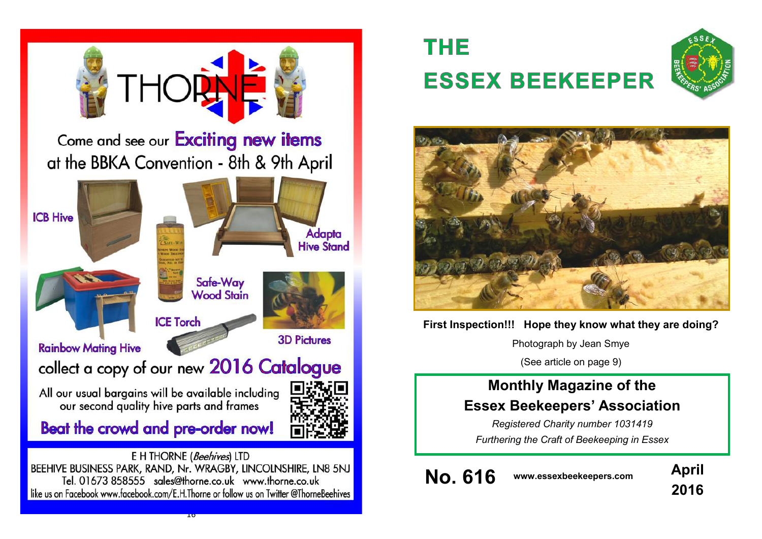

 $10$ 

# **THE ESSEX BEEKEEPER**





## **First Inspection!!! Hope they know what they are doing?**

Photograph by Jean Smye

(See article on page 9)

## **Monthly Magazine of the Essex Beekeepers' Association**

*Registered Charity number 1031419 Furthering the Craft of Beekeeping in Essex*

**No. 616 www.essexbeekeepers.com April**

**2016**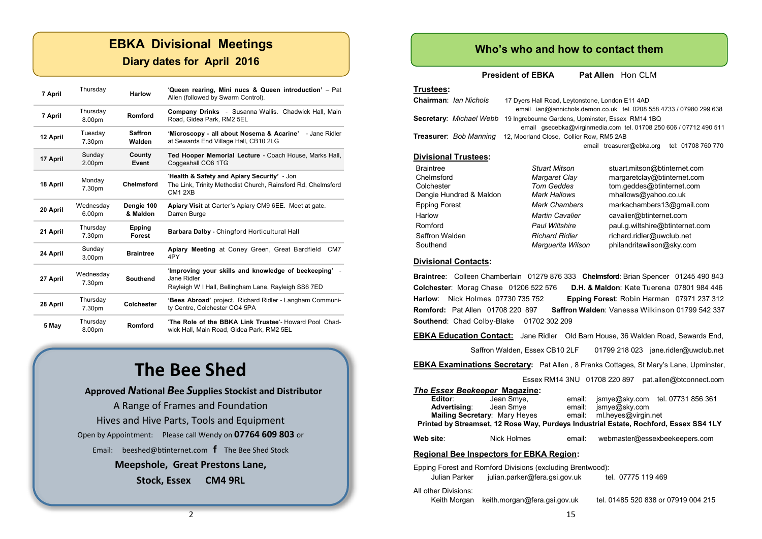## **EBKA Divisional Meetings**

## **Diary dates for April 2016**

| 7 April  | Thursday                     | <b>Harlow</b>            | 'Queen rearing, Mini nucs & Queen introduction' - Pat<br>Allen (followed by Swarm Control).                                                    |  |
|----------|------------------------------|--------------------------|------------------------------------------------------------------------------------------------------------------------------------------------|--|
| 7 April  | Thursday<br>8.00pm           | Romford                  | Company Drinks - Susanna Wallis. Chadwick Hall, Main<br>Road, Gidea Park, RM2 5EL                                                              |  |
| 12 April | Tuesday<br>7.30pm            | <b>Saffron</b><br>Walden | 'Microscopy - all about Nosema & Acarine'<br>- Jane Ridler<br>at Sewards End Village Hall, CB10 2LG                                            |  |
| 17 April | Sunday<br>2.00 <sub>pm</sub> | County<br>Event          | Ted Hooper Memorial Lecture - Coach House, Marks Hall,<br>Coggeshall CO6 1TG                                                                   |  |
| 18 April | Monday<br>7.30pm             | <b>Chelmsford</b>        | 'Health & Safety and Apiary Security' - Jon<br>The Link, Trinity Methodist Church, Rainsford Rd, Chelmsford<br>CM <sub>1</sub> 2X <sub>B</sub> |  |
| 20 April | Wednesday<br>6.00pm          | Dengie 100<br>& Maldon   | Apiary Visit at Carter's Apiary CM9 6EE. Meet at gate.<br>Darren Burge                                                                         |  |
| 21 April | Thursday<br>7.30pm           | Epping<br>Forest         | Barbara Dalby - Chingford Horticultural Hall                                                                                                   |  |
| 24 April | Sunday<br>3.00 <sub>pm</sub> | <b>Braintree</b>         | Apiary Meeting at Coney Green, Great Bardfield<br>CM7<br>4PY                                                                                   |  |
| 27 April | Wednesday<br>7.30pm          | <b>Southend</b>          | 'Improving your skills and knowledge of beekeeping' -<br>Jane Ridler<br>Rayleigh W I Hall, Bellingham Lane, Rayleigh SS6 7ED                   |  |
| 28 April | Thursday<br>7.30pm           | Colchester               | 'Bees Abroad' project. Richard Ridler - Langham Communi-<br>ty Centre, Colchester CO4 5PA                                                      |  |
| 5 May    | Thursday<br>8.00pm           | Romford                  | 'The Role of the BBKA Link Trustee'- Howard Pool Chad-<br>wick Hall, Main Road, Gidea Park, RM2 5EL                                            |  |

## **The Bee Shed**

#### **Approved** *N***ational** *B***ee** *S***upplies Stockist and Distributor**

A Range of Frames and Foundation Hives and Hive Parts, Tools and Equipment Open by Appointment: Please call Wendy on **07764 609 803** or Email: [beeshed@btinternet.com](mailto:beeshed@btinternet.com) **f** The Bee Shed Stock **Meepshole, Great Prestons Lane,**

#### **Stock, Essex CM4 9RL**

## **Who's who and how to contact them**

**President of EBKA** Pat Allen Hon CLM

## **Trustees:**

| <b>Chairman: Ian Nichols</b> | 17 Dyers Hall Road, Leytonstone, London E11 4AD<br>email ian@iannichols.demon.co.uk tel. 0208 558 4733 / 07980 299 638 |  |  |  |  |  |  |
|------------------------------|------------------------------------------------------------------------------------------------------------------------|--|--|--|--|--|--|
|                              | <b>Secretary:</b> Michael Webb 19 Ingrebourne Gardens, Upminster, Essex RM14 1BQ                                       |  |  |  |  |  |  |
|                              | email qsecebka@virginmedia.com tel. 01708 250 606 / 07712 490 511                                                      |  |  |  |  |  |  |
|                              | <b>Treasurer:</b> Bob Manning 12, Moorland Close, Collier Row, RM5 2AB                                                 |  |  |  |  |  |  |
|                              | email treasurer@ebka.org tel: 01708 760 770                                                                            |  |  |  |  |  |  |
| <b>Divisional Trustees:</b>  |                                                                                                                        |  |  |  |  |  |  |
|                              |                                                                                                                        |  |  |  |  |  |  |

| margaretclay@btinternet.com<br>Margaret Clay             |
|----------------------------------------------------------|
| <b>Tom Geddes</b><br>tom.geddes@btinternet.com           |
| mhallows@yahoo.co.uk<br><b>Mark Hallows</b>              |
| markachambers13@gmail.com<br><b>Mark Chambers</b>        |
| <b>Martin Cavalier</b><br>cavalier@btinternet.com        |
| paul.g.wiltshire@btinternet.com<br><b>Paul Wiltshire</b> |
| richard.ridler@uwclub.net<br><b>Richard Ridler</b>       |
| philandritawilson@sky.com<br>Marquerita Wilson           |
|                                                          |

#### **Divisional Contacts:**

**Braintree**: Colleen Chamberlain 01279 876 333 **Chelmsford**: Brian Spencer 01245 490 843 **Colchester**: Morag Chase 01206 522 576 **D.H. & Maldon**: Kate Tuerena 07801 984 446 **Harlow**: Nick Holmes 07730 735 752 **Epping Forest**: Robin Harman 07971 237 312 **Romford:** Pat Allen 01708 220 897 **Saffron Walden**: Vanessa Wilkinson 01799 542 337 **Southend**: Chad Colby-Blake 01702 302 209

**EBKA Education Contact:** Jane Ridler Old Barn House, 36 Walden Road, Sewards End,

Saffron Walden, Essex CB10 2LF 01799 218 023 jane.ridler@uwclub.net

**EBKA Examinations Secretary:** Pat Allen , 8 Franks Cottages, St Mary's Lane, Upminster,

Essex RM14 3NU 01708 220 897 pat.allen@btconnect.com

#### *The Essex Beekeeper* **Magazine:** email: jsmye@sky.com tel. 07731 856 361

| Advertising:                                                                          | Jean Smve                            |        | email: ismye@sky.com          |  |  |  |  |  |
|---------------------------------------------------------------------------------------|--------------------------------------|--------|-------------------------------|--|--|--|--|--|
|                                                                                       | <b>Mailing Secretary: Mary Heyes</b> | email: | ml.heves@virgin.net           |  |  |  |  |  |
| Printed by Streamset, 12 Rose Way, Purdeys Industrial Estate, Rochford, Essex SS4 1LY |                                      |        |                               |  |  |  |  |  |
| Web site:                                                                             | Nick Holmes                          | email: | webmaster@essexbeekeepers.com |  |  |  |  |  |
| <b>Regional Bee Inspectors for EBKA Region:</b>                                       |                                      |        |                               |  |  |  |  |  |
| Easter Freezh eo I Brazfrad Blatzlea - Araballach Barakarrek IV.                      |                                      |        |                               |  |  |  |  |  |

Epping Forest and Romford Divisions (excluding Brentwood): Julian Parker julian.parker@fera.gsi.gov.uk tel. 07775 119 469

All other Divisions:

Keith Morgan keith.morgan@fera.gsi.gov.uk tel. 01485 520 838 or 07919 004 215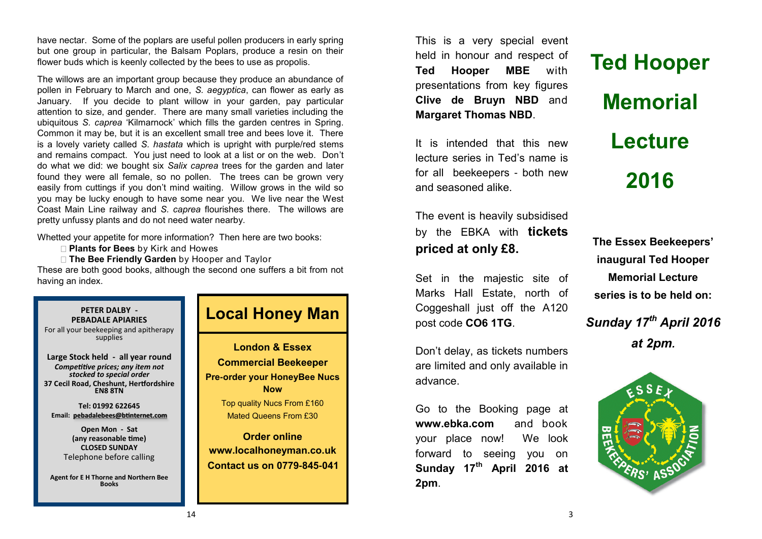have nectar. Some of the poplars are useful pollen producers in early spring but one group in particular, the Balsam Poplars, produce a resin on their flower buds which is keenly collected by the bees to use as propolis.

The willows are an important group because they produce an abundance of pollen in February to March and one, *S. aegyptica*, can flower as early as January. If you decide to plant willow in your garden, pay particular attention to size, and gender. There are many small varieties including the ubiquitous *S. caprea* 'Kilmarnock' which fills the garden centres in Spring. Common it may be, but it is an excellent small tree and bees love it. There is a lovely variety called *S. hastata* which is upright with purple/red stems and remains compact. You just need to look at a list or on the web. Don't do what we did: we bought six *Salix caprea* trees for the garden and later found they were all female, so no pollen. The trees can be grown very easily from cuttings if you don't mind waiting. Willow grows in the wild so you may be lucky enough to have some near you. We live near the West Coast Main Line railway and *S. caprea* flourishes there. The willows are pretty unfussy plants and do not need water nearby.

Whetted your appetite for more information? Then here are two books:

**Plants for Bees** by Kirk and Howes

**The Bee Friendly Garden** by Hooper and Taylor

These are both good books, although the second one suffers a bit from not having an index.



## **Local Honey Man**

**Commercial Beekeeper Pre-order your HoneyBee Nucs Now** Top quality Nucs From £160

Mated Queens From £30

**Order online [www.localhoneyman.co.uk](http://www.localhoneyman.co.uk) Contact us on 0779-845-041**

This is a very special event held in honour and respect of **Ted Hooper MBE** with presentations from key figures **Clive de Bruyn NBD** and **Margaret Thomas NBD**.

It is intended that this new lecture series in Ted's name is for all beekeepers - both new and seasoned alike.

The event is heavily subsidised by the EBKA with **tickets priced at only £8.**

Set in the majestic site of Marks Hall Estate, north of Coggeshall just off the A120 post code **CO6 1TG**.

Don't delay, as tickets numbers are limited and only available in advance.

Go to the Booking page at **www.ebka.com** and book your place now! We look forward to seeing you on **Sunday 17th April 2016 at 2pm**.

**Ted Hooper Memorial Lecture 2016**

**The Essex Beekeepers' inaugural Ted Hooper Memorial Lecture series is to be held on:**

*Sunday 17th April 2016 at 2pm.* 

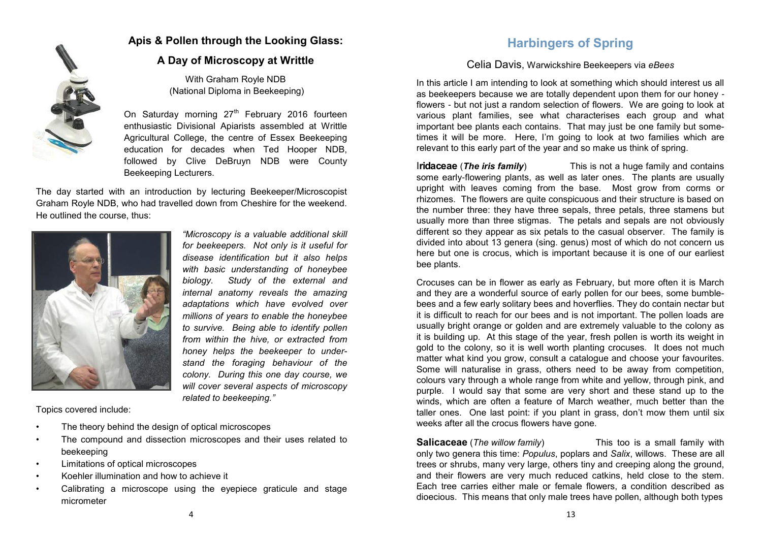

## **Apis & Pollen through the Looking Glass:**

## **A Day of Microscopy at Writtle**

With Graham Royle NDB (National Diploma in Beekeeping)

On Saturday morning  $27<sup>th</sup>$  February 2016 fourteen enthusiastic Divisional Apiarists assembled at Writtle Agricultural College, the centre of Essex Beekeeping education for decades when Ted Hooper NDB, followed by Clive DeBruyn NDB were County Beekeeping Lecturers.

The day started with an introduction by lecturing Beekeeper/Microscopist Graham Royle NDB, who had travelled down from Cheshire for the weekend. He outlined the course, thus:



*"Microscopy is a valuable additional skill for beekeepers. Not only is it useful for disease identification but it also helps with basic understanding of honeybee biology. Study of the external and internal anatomy reveals the amazing adaptations which have evolved over millions of years to enable the honeybee to survive. Being able to identify pollen from within the hive, or extracted from honey helps the beekeeper to understand the foraging behaviour of the colony. During this one day course, we will cover several aspects of microscopy related to beekeeping."*

Topics covered include:

- The theory behind the design of optical microscopes
- The compound and dissection microscopes and their uses related to beekeeping
- Limitations of optical microscopes
- Koehler illumination and how to achieve it
- Calibrating a microscope using the eyepiece graticule and stage micrometer

## **Harbingers of Spring**

## Celia Davis, Warwickshire Beekeepers via *eBees*

In this article I am intending to look at something which should interest us all as beekeepers because we are totally dependent upon them for our honey flowers - but not just a random selection of flowers. We are going to look at various plant families, see what characterises each group and what important bee plants each contains. That may just be one family but sometimes it will be more. Here, I'm going to look at two families which are relevant to this early part of the year and so make us think of spring.

I**ridaceae** (*The iris family*) This is not a huge family and contains some early-flowering plants, as well as later ones. The plants are usually upright with leaves coming from the base. Most grow from corms or rhizomes. The flowers are quite conspicuous and their structure is based on the number three: they have three sepals, three petals, three stamens but usually more than three stigmas. The petals and sepals are not obviously different so they appear as six petals to the casual observer. The family is divided into about 13 genera (sing. genus) most of which do not concern us here but one is crocus, which is important because it is one of our earliest bee plants.

Crocuses can be in flower as early as February, but more often it is March and they are a wonderful source of early pollen for our bees, some bumblebees and a few early solitary bees and hoverflies. They do contain nectar but it is difficult to reach for our bees and is not important. The pollen loads are usually bright orange or golden and are extremely valuable to the colony as it is building up. At this stage of the year, fresh pollen is worth its weight in gold to the colony, so it is well worth planting crocuses. It does not much matter what kind you grow, consult a catalogue and choose your favourites. Some will naturalise in grass, others need to be away from competition, colours vary through a whole range from white and yellow, through pink, and purple. I would say that some are very short and these stand up to the winds, which are often a feature of March weather, much better than the taller ones. One last point: if you plant in grass, don't mow them until six weeks after all the crocus flowers have gone.

**Salicaceae** (*The willow family*) This too is a small family with only two genera this time: *Populus*, poplars and *Salix*, willows. These are all trees or shrubs, many very large, others tiny and creeping along the ground, and their flowers are very much reduced catkins, held close to the stem. Each tree carries either male or female flowers, a condition described as dioecious. This means that only male trees have pollen, although both types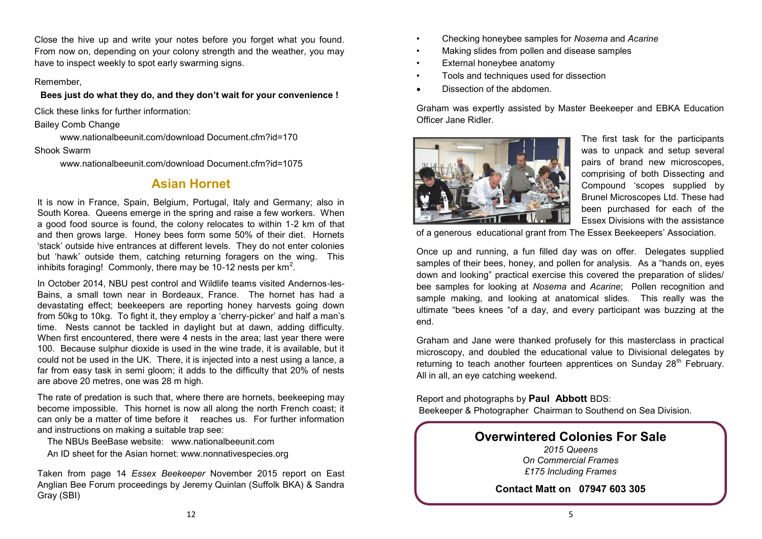Close the hive up and write your notes before you forget what you found. From now on, depending on your colony strength and the weather, you may have to inspect weekly to spot early swarming signs.

#### Remember,

#### **Bees just do what they do, and they don't wait for your convenience !**

Click these links for further information:

Bailey Comb Change

www.nationalbeeunit.com/download Document.cfm?id=170

#### Shook Swarm

www.nationalbeeunit.com/download Document.cfm?id=1075

## **Asian Hornet**

It is now in France, Spain, Belgium, Portugal, Italy and Germany; also in South Korea. Queens emerge in the spring and raise a few workers. When a good food source is found, the colony relocates to within 1-2 km of that and then grows large. Honey bees form some 50% of their diet. Hornets 'stack' outside hive entrances at different levels. They do not enter colonies but 'hawk' outside them, catching returning foragers on the wing. This inhibits foraging! Commonly, there may be 10-12 nests per  $km^2$ .

In October 2014, NBU pest control and Wildlife teams visited Andernos-les-Bains, a small town near in Bordeaux, France. The hornet has had a devastating effect; beekeepers are reporting honey harvests going down from 50kg to 10kg. To fight it, they employ a 'cherry-picker' and half a man's time. Nests cannot be tackled in daylight but at dawn, adding difficulty. When first encountered, there were 4 nests in the area; last year there were 100. Because sulphur dioxide is used in the wine trade, it is available, but it could not be used in the UK. There, it is injected into a nest using a lance, a far from easy task in semi gloom; it adds to the difficulty that 20% of nests are above 20 metres, one was 28 m high.

The rate of predation is such that, where there are hornets, beekeeping may become impossible. This hornet is now all along the north French coast; it can only be a matter of time before it reaches us. For further information and instructions on making a suitable trap see:

The NBUs BeeBase website: www.nationalbeeunit.com

An ID sheet for the Asian hornet: www.nonnativespecies.org

Taken from page 14 *Essex Beekeeper* November 2015 report on East Anglian Bee Forum proceedings by Jeremy Quinlan (Suffolk BKA) & Sandra Gray (SBI)

- Checking honeybee samples for *Nosema* and *Acarine*
- Making slides from pollen and disease samples
- External honeybee anatomy
- Tools and techniques used for dissection
- Dissection of the abdomen.

Graham was expertly assisted by Master Beekeeper and EBKA Education Officer Jane Ridler.



The first task for the participants was to unpack and setup several pairs of brand new microscopes, comprising of both Dissecting and Compound 'scopes supplied by Brunel Microscopes Ltd. These had been purchased for each of the Essex Divisions with the assistance

of a generous educational grant from The Essex Beekeepers' Association.

Once up and running, a fun filled day was on offer. Delegates supplied samples of their bees, honey, and pollen for analysis. As a "hands on, eyes down and looking" practical exercise this covered the preparation of slides/ bee samples for looking at *Nosema* and *Acarine*; Pollen recognition and sample making, and looking at anatomical slides. This really was the ultimate "bees knees "of a day, and every participant was buzzing at the end.

Graham and Jane were thanked profusely for this masterclass in practical microscopy, and doubled the educational value to Divisional delegates by returning to teach another fourteen apprentices on Sunday 28<sup>th</sup> February. All in all, an eye catching weekend.

Report and photographs by **Paul Abbott** BDS: Beekeeper & Photographer Chairman to Southend on Sea Division.

## **Overwintered Colonies For Sale**

*2015 Queens On Commercial Frames £175 Including Frames*

**Contact Matt on 07947 603 305**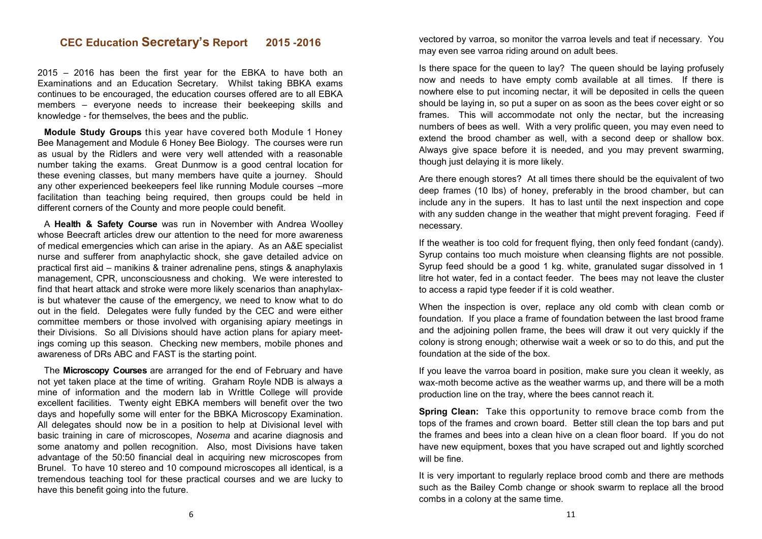## **CEC Education Secretary's Report 2015 -2016**

2015 – 2016 has been the first year for the EBKA to have both an Examinations and an Education Secretary. Whilst taking BBKA exams continues to be encouraged, the education courses offered are to all EBKA members – everyone needs to increase their beekeeping skills and knowledge - for themselves, the bees and the public.

**Module Study Groups** this year have covered both Module 1 Honey Bee Management and Module 6 Honey Bee Biology. The courses were run as usual by the Ridlers and were very well attended with a reasonable number taking the exams. Great Dunmow is a good central location for these evening classes, but many members have quite a journey. Should any other experienced beekeepers feel like running Module courses –more facilitation than teaching being required, then groups could be held in different corners of the County and more people could benefit.

A **Health & Safety Course** was run in November with Andrea Woolley whose Beecraft articles drew our attention to the need for more awareness of medical emergencies which can arise in the apiary. As an A&E specialist nurse and sufferer from anaphylactic shock, she gave detailed advice on practical first aid – manikins & trainer adrenaline pens, stings & anaphylaxis management, CPR, unconsciousness and choking. We were interested to find that heart attack and stroke were more likely scenarios than anaphylaxis but whatever the cause of the emergency, we need to know what to do out in the field. Delegates were fully funded by the CEC and were either committee members or those involved with organising apiary meetings in their Divisions. So all Divisions should have action plans for apiary meetings coming up this season. Checking new members, mobile phones and awareness of DRs ABC and FAST is the starting point.

The **Microscopy Courses** are arranged for the end of February and have not yet taken place at the time of writing. Graham Royle NDB is always a mine of information and the modern lab in Writtle College will provide excellent facilities. Twenty eight EBKA members will benefit over the two days and hopefully some will enter for the BBKA Microscopy Examination. All delegates should now be in a position to help at Divisional level with basic training in care of microscopes, *Nosema* and acarine diagnosis and some anatomy and pollen recognition. Also, most Divisions have taken advantage of the 50:50 financial deal in acquiring new microscopes from Brunel. To have 10 stereo and 10 compound microscopes all identical, is a tremendous teaching tool for these practical courses and we are lucky to have this benefit going into the future.

vectored by varroa, so monitor the varroa levels and teat if necessary. You may even see varroa riding around on adult bees.

Is there space for the queen to lay? The queen should be laying profusely now and needs to have empty comb available at all times. If there is nowhere else to put incoming nectar, it will be deposited in cells the queen should be laying in, so put a super on as soon as the bees cover eight or so frames. This will accommodate not only the nectar, but the increasing numbers of bees as well. With a very prolific queen, you may even need to extend the brood chamber as well, with a second deep or shallow box. Always give space before it is needed, and you may prevent swarming, though just delaying it is more likely.

Are there enough stores? At all times there should be the equivalent of two deep frames (10 lbs) of honey, preferably in the brood chamber, but can include any in the supers. It has to last until the next inspection and cope with any sudden change in the weather that might prevent foraging. Feed if necessary.

If the weather is too cold for frequent flying, then only feed fondant (candy). Syrup contains too much moisture when cleansing flights are not possible. Syrup feed should be a good 1 kg. white, granulated sugar dissolved in 1 litre hot water, fed in a contact feeder. The bees may not leave the cluster to access a rapid type feeder if it is cold weather.

When the inspection is over, replace any old comb with clean comb or foundation. If you place a frame of foundation between the last brood frame and the adjoining pollen frame, the bees will draw it out very quickly if the colony is strong enough; otherwise wait a week or so to do this, and put the foundation at the side of the box.

If you leave the varroa board in position, make sure you clean it weekly, as wax-moth become active as the weather warms up, and there will be a moth production line on the tray, where the bees cannot reach it.

**Spring Clean:** Take this opportunity to remove brace comb from the tops of the frames and crown board. Better still clean the top bars and put the frames and bees into a clean hive on a clean floor board. If you do not have new equipment, boxes that you have scraped out and lightly scorched will be fine.

It is very important to regularly replace brood comb and there are methods such as the Bailey Comb change or shook swarm to replace all the brood combs in a colony at the same time.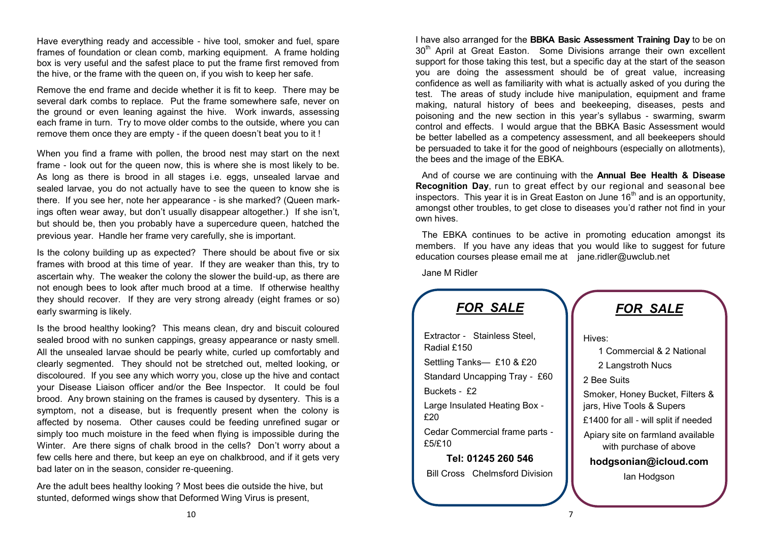Have everything ready and accessible - hive tool, smoker and fuel, spare frames of foundation or clean comb, marking equipment. A frame holding box is very useful and the safest place to put the frame first removed from the hive, or the frame with the queen on, if you wish to keep her safe.

Remove the end frame and decide whether it is fit to keep. There may be several dark combs to replace. Put the frame somewhere safe, never on the ground or even leaning against the hive. Work inwards, assessing each frame in turn. Try to move older combs to the outside, where you can remove them once they are empty - if the queen doesn't beat you to it !

When you find a frame with pollen, the brood nest may start on the next frame - look out for the queen now, this is where she is most likely to be. As long as there is brood in all stages i.e. eggs, unsealed larvae and sealed larvae, you do not actually have to see the queen to know she is there. If you see her, note her appearance - is she marked? (Queen markings often wear away, but don't usually disappear altogether.) If she isn't, but should be, then you probably have a supercedure queen, hatched the previous year. Handle her frame very carefully, she is important.

Is the colony building up as expected? There should be about five or six frames with brood at this time of year. If they are weaker than this, try to ascertain why. The weaker the colony the slower the build-up, as there are not enough bees to look after much brood at a time. If otherwise healthy they should recover. If they are very strong already (eight frames or so) early swarming is likely.

Is the brood healthy looking? This means clean, dry and biscuit coloured sealed brood with no sunken cappings, greasy appearance or nasty smell. All the unsealed larvae should be pearly white, curled up comfortably and clearly segmented. They should not be stretched out, melted looking, or discoloured. If you see any which worry you, close up the hive and contact your Disease Liaison officer and/or the Bee Inspector. It could be foul brood. Any brown staining on the frames is caused by dysentery. This is a symptom, not a disease, but is frequently present when the colony is affected by nosema. Other causes could be feeding unrefined sugar or simply too much moisture in the feed when flying is impossible during the Winter. Are there signs of chalk brood in the cells? Don't worry about a few cells here and there, but keep an eye on chalkbrood, and if it gets very bad later on in the season, consider re-queening.

Are the adult bees healthy looking ? Most bees die outside the hive, but stunted, deformed wings show that Deformed Wing Virus is present,

I have also arranged for the **BBKA Basic Assessment Training Day** to be on 30<sup>th</sup> April at Great Easton. Some Divisions arrange their own excellent support for those taking this test, but a specific day at the start of the season you are doing the assessment should be of great value, increasing confidence as well as familiarity with what is actually asked of you during the test. The areas of study include hive manipulation, equipment and frame making, natural history of bees and beekeeping, diseases, pests and poisoning and the new section in this year's syllabus - swarming, swarm control and effects. I would arque that the BBKA Basic Assessment would be better labelled as a competency assessment, and all beekeepers should be persuaded to take it for the good of neighbours (especially on allotments), the bees and the image of the EBKA.

And of course we are continuing with the **Annual Bee Health & Disease Recognition Day**, run to great effect by our regional and seasonal bee inspectors. This year it is in Great Easton on June  $16<sup>th</sup>$  and is an opportunity, amongst other troubles, to get close to diseases you'd rather not find in your own hives.

The EBKA continues to be active in promoting education amongst its members. If you have any ideas that you would like to suggest for future education courses please email me at [jane.ridler@uwclub.net](mailto:jane.ridler@uwclub.net)

Jane M Ridler